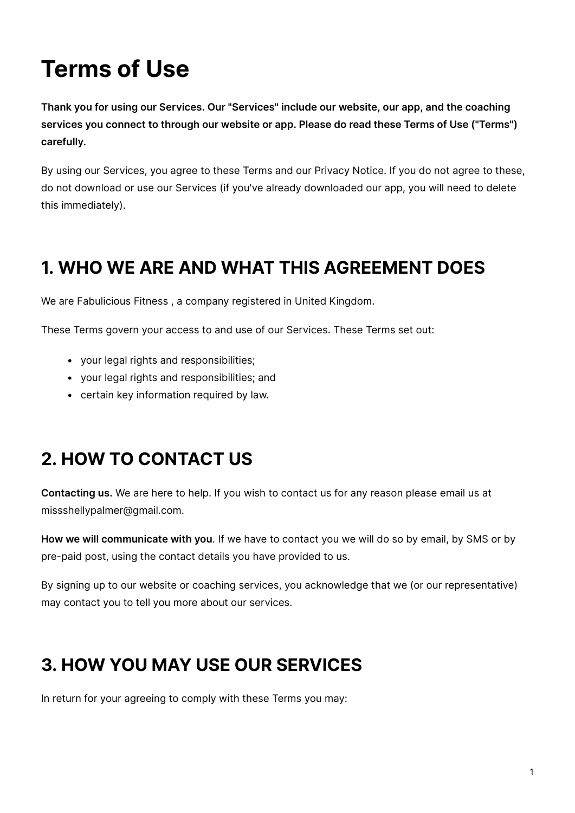# **Terms of Use**

**Thank you for using our Services. Our "Services" include our website, our app, and the coaching services you connect to through our website or app. Please do read these Terms of Use ("Terms") carefully.**

By using our Services, you agree to these Terms and our Privacy Notice. If you do not agree to these, do not download or use our Services (if you've already downloaded our app, you will need to delete this immediately).

### **1. WHO WE ARE AND WHAT THIS AGREEMENT DOES**

We are Fabulicious Fitness, a company registered in United Kingdom.

These Terms govern your access to and use of our Services. These Terms set out:

- your legal rights and responsibilities;
- your legal rights and responsibilities; and
- certain key information required by law.

# **2. HOW TO CONTACT US**

**Contacting us.** We are here to help. If you wish to contact us for any reason please email us at missshellypalmer@gmail.com.

**How we will communicate with you**. If we have to contact you we will do so by email, by SMS or by pre-paid post, using the contact details you have provided to us.

By signing up to our website or coaching services, you acknowledge that we (or our representative) may contact you to tell you more about our services.

### **3. HOW YOU MAY USE OUR SERVICES**

In return for your agreeing to comply with these Terms you may: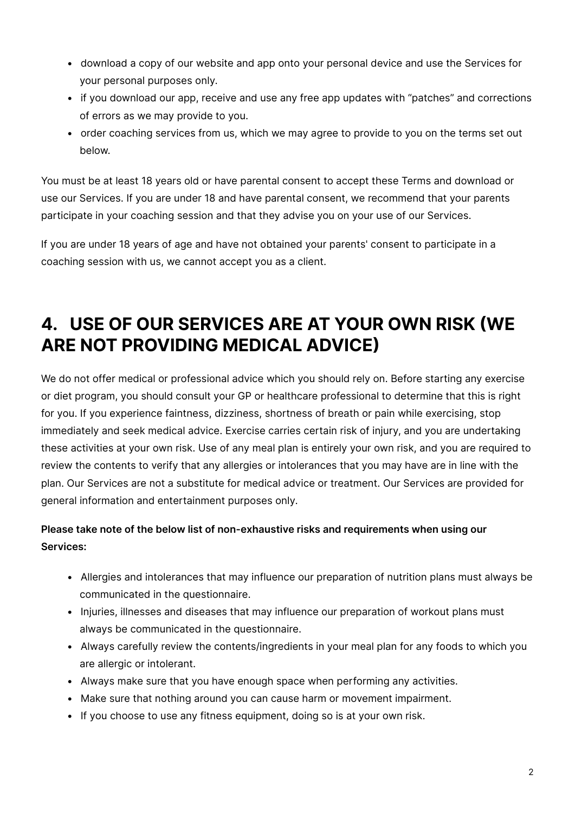- download a copy of our website and app onto your personal device and use the Services for your personal purposes only.
- if you download our app, receive and use any free app updates with "patches" and corrections of errors as we may provide to you.
- order coaching services from us, which we may agree to provide to you on the terms set out below.

You must be at least 18 years old or have parental consent to accept these Terms and download or use our Services. If you are under 18 and have parental consent, we recommend that your parents participate in your coaching session and that they advise you on your use of our Services.

If you are under 18 years of age and have not obtained your parents' consent to participate in a coaching session with us, we cannot accept you as a client.

### **4. USE OF OUR SERVICES ARE AT YOUR OWN RISK (WE ARE NOT PROVIDING MEDICAL ADVICE)**

We do not offer medical or professional advice which you should rely on. Before starting any exercise or diet program, you should consult your GP or healthcare professional to determine that this is right for you. If you experience faintness, dizziness, shortness of breath or pain while exercising, stop immediately and seek medical advice. Exercise carries certain risk of injury, and you are undertaking these activities at your own risk. Use of any meal plan is entirely your own risk, and you are required to review the contents to verify that any allergies or intolerances that you may have are in line with the plan. Our Services are not a substitute for medical advice or treatment. Our Services are provided for general information and entertainment purposes only.

#### **Please take note of the below list of non-exhaustive risks and requirements when using our Services:**

- Allergies and intolerances that may influence our preparation of nutrition plans must always be communicated in the questionnaire.
- Injuries, illnesses and diseases that may influence our preparation of workout plans must always be communicated in the questionnaire.
- Always carefully review the contents/ingredients in your meal plan for any foods to which you are allergic or intolerant.
- Always make sure that you have enough space when performing any activities.
- Make sure that nothing around you can cause harm or movement impairment.
- If you choose to use any fitness equipment, doing so is at your own risk.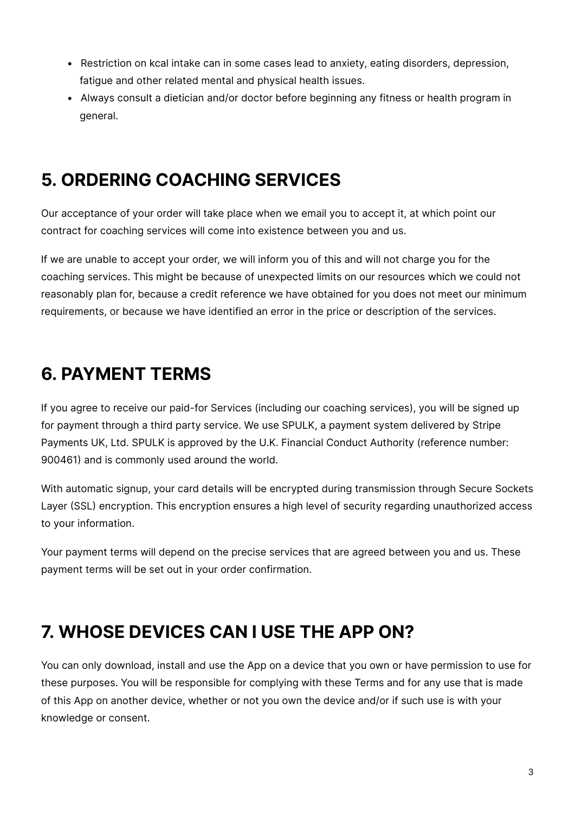- Restriction on kcal intake can in some cases lead to anxiety, eating disorders, depression, fatigue and other related mental and physical health issues.
- Always consult a dietician and/or doctor before beginning any fitness or health program in general.

#### **5. ORDERING COACHING SERVICES**

Our acceptance of your order will take place when we email you to accept it, at which point our contract for coaching services will come into existence between you and us.

If we are unable to accept your order, we will inform you of this and will not charge you for the coaching services. This might be because of unexpected limits on our resources which we could not reasonably plan for, because a credit reference we have obtained for you does not meet our minimum requirements, or because we have identified an error in the price or description of the services.

#### **6. PAYMENT TERMS**

If you agree to receive our paid-for Services (including our coaching services), you will be signed up for payment through a third party service. We use SPULK, a payment system delivered by Stripe Payments UK, Ltd. SPULK is approved by the U.K. Financial Conduct Authority (reference number: 900461) and is commonly used around the world.

With automatic signup, your card details will be encrypted during transmission through Secure Sockets Layer (SSL) encryption. This encryption ensures a high level of security regarding unauthorized access to your information.

Your payment terms will depend on the precise services that are agreed between you and us. These payment terms will be set out in your order confirmation.

#### **7. WHOSE DEVICES CAN I USE THE APP ON?**

You can only download, install and use the App on a device that you own or have permission to use for these purposes. You will be responsible for complying with these Terms and for any use that is made of this App on another device, whether or not you own the device and/or if such use is with your knowledge or consent.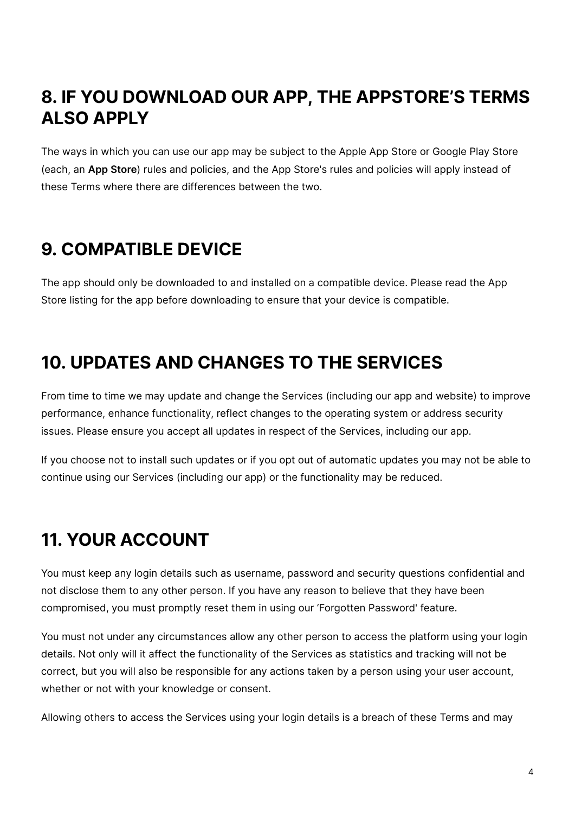#### **8. IF YOU DOWNLOAD OUR APP, THE APPSTORE'S TERMS ALSO APPLY**

The ways in which you can use our app may be subject to the Apple App Store or Google Play Store (each, an **App Store**) rules and policies, and the App Store's rules and policies will apply instead of these Terms where there are differences between the two.

#### **9. COMPATIBLE DEVICE**

The app should only be downloaded to and installed on a compatible device. Please read the App Store listing for the app before downloading to ensure that your device is compatible.

#### **10. UPDATES AND CHANGES TO THE SERVICES**

From time to time we may update and change the Services (including our app and website) to improve performance, enhance functionality, reflect changes to the operating system or address security issues. Please ensure you accept all updates in respect of the Services, including our app.

If you choose not to install such updates or if you opt out of automatic updates you may not be able to continue using our Services (including our app) or the functionality may be reduced.

# **11. YOUR ACCOUNT**

You must keep any login details such as username, password and security questions confidential and not disclose them to any other person. If you have any reason to believe that they have been compromised, you must promptly reset them in using our 'Forgotten Password' feature.

You must not under any circumstances allow any other person to access the platform using your login details. Not only will it affect the functionality of the Services as statistics and tracking will not be correct, but you will also be responsible for any actions taken by a person using your user account, whether or not with your knowledge or consent.

Allowing others to access the Services using your login details is a breach of these Terms and may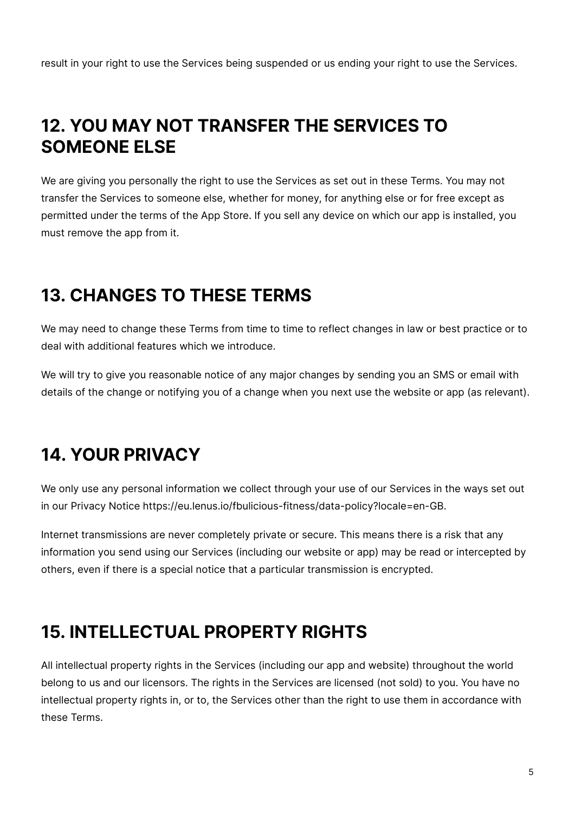result in your right to use the Services being suspended or us ending your right to use the Services.

#### **12. YOU MAY NOT TRANSFER THE SERVICES TO SOMEONE ELSE**

We are giving you personally the right to use the Services as set out in these Terms. You may not transfer the Services to someone else, whether for money, for anything else or for free except as permitted under the terms of the App Store. If you sell any device on which our app is installed, you must remove the app from it.

#### **13. CHANGES TO THESE TERMS**

We may need to change these Terms from time to time to reflect changes in law or best practice or to deal with additional features which we introduce.

We will try to give you reasonable notice of any major changes by sending you an SMS or email with details of the change or notifying you of a change when you next use the website or app (as relevant).

# **14. YOUR PRIVACY**

We only use any personal information we collect through your use of our Services in the ways set out in our Privacy Notice https://eu.lenus.io/fbulicious-fitness/data-policy?locale=en-GB.

Internet transmissions are never completely private or secure. This means there is a risk that any information you send using our Services (including our website or app) may be read or intercepted by others, even if there is a special notice that a particular transmission is encrypted.

#### **15. INTELLECTUAL PROPERTY RIGHTS**

All intellectual property rights in the Services (including our app and website) throughout the world belong to us and our licensors. The rights in the Services are licensed (not sold) to you. You have no intellectual property rights in, or to, the Services other than the right to use them in accordance with these Terms.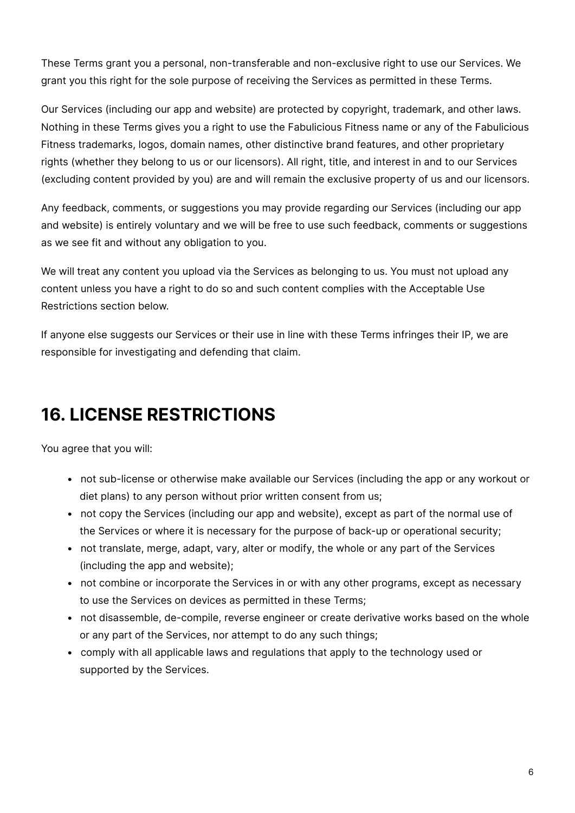These Terms grant you a personal, non-transferable and non-exclusive right to use our Services. We grant you this right for the sole purpose of receiving the Services as permitted in these Terms.

Our Services (including our app and website) are protected by copyright, trademark, and other laws. Nothing in these Terms gives you a right to use the Fabulicious Fitness name or any of the Fabulicious Fitness trademarks, logos, domain names, other distinctive brand features, and other proprietary rights (whether they belong to us or our licensors). All right, title, and interest in and to our Services (excluding content provided by you) are and will remain the exclusive property of us and our licensors.

Any feedback, comments, or suggestions you may provide regarding our Services (including our app and website) is entirely voluntary and we will be free to use such feedback, comments or suggestions as we see fit and without any obligation to you.

We will treat any content you upload via the Services as belonging to us. You must not upload any content unless you have a right to do so and such content complies with the Acceptable Use Restrictions section below.

If anyone else suggests our Services or their use in line with these Terms infringes their IP, we are responsible for investigating and defending that claim.

### **16. LICENSE RESTRICTIONS**

You agree that you will:

- not sub-license or otherwise make available our Services (including the app or any workout or diet plans) to any person without prior written consent from us;
- not copy the Services (including our app and website), except as part of the normal use of the Services or where it is necessary for the purpose of back-up or operational security;
- not translate, merge, adapt, vary, alter or modify, the whole or any part of the Services (including the app and website);
- not combine or incorporate the Services in or with any other programs, except as necessary to use the Services on devices as permitted in these Terms;
- not disassemble, de-compile, reverse engineer or create derivative works based on the whole or any part of the Services, nor attempt to do any such things;
- comply with all applicable laws and regulations that apply to the technology used or supported by the Services.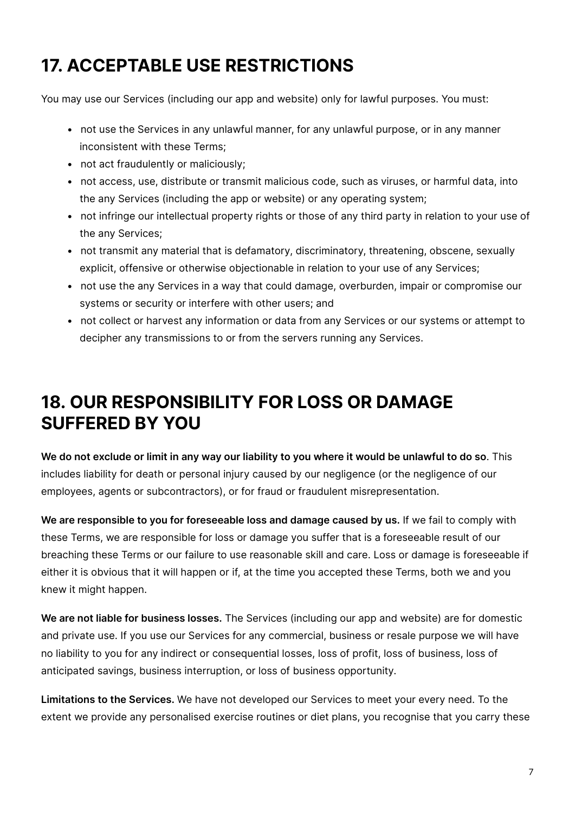# **17. ACCEPTABLE USE RESTRICTIONS**

You may use our Services (including our app and website) only for lawful purposes. You must:

- not use the Services in any unlawful manner, for any unlawful purpose, or in any manner inconsistent with these Terms;
- not act fraudulently or maliciously;
- not access, use, distribute or transmit malicious code, such as viruses, or harmful data, into the any Services (including the app or website) or any operating system;
- not infringe our intellectual property rights or those of any third party in relation to your use of the any Services;
- not transmit any material that is defamatory, discriminatory, threatening, obscene, sexually explicit, offensive or otherwise objectionable in relation to your use of any Services;
- not use the any Services in a way that could damage, overburden, impair or compromise our systems or security or interfere with other users; and
- not collect or harvest any information or data from any Services or our systems or attempt to decipher any transmissions to or from the servers running any Services.

### **18. OUR RESPONSIBILITY FOR LOSS OR DAMAGE SUFFERED BY YOU**

**We do not exclude or limit in any way our liability to you where it would be unlawful to do so**. This includes liability for death or personal injury caused by our negligence (or the negligence of our employees, agents or subcontractors), or for fraud or fraudulent misrepresentation.

**We are responsible to you for foreseeable loss and damage caused by us.** If we fail to comply with these Terms, we are responsible for loss or damage you suffer that is a foreseeable result of our breaching these Terms or our failure to use reasonable skill and care. Loss or damage is foreseeable if either it is obvious that it will happen or if, at the time you accepted these Terms, both we and you knew it might happen.

**We are not liable for business losses.** The Services (including our app and website) are for domestic and private use. If you use our Services for any commercial, business or resale purpose we will have no liability to you for any indirect or consequential losses, loss of profit, loss of business, loss of anticipated savings, business interruption, or loss of business opportunity.

**Limitations to the Services.** We have not developed our Services to meet your every need. To the extent we provide any personalised exercise routines or diet plans, you recognise that you carry these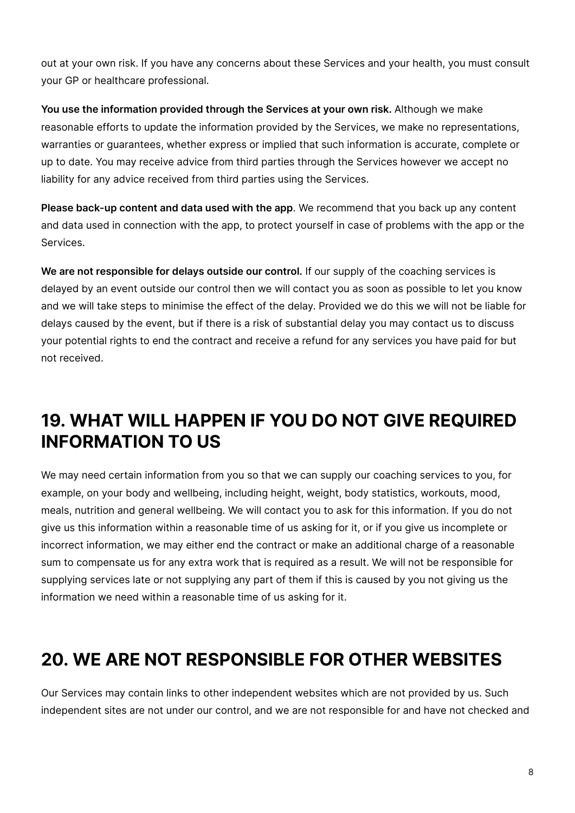out at your own risk. If you have any concerns about these Services and your health, you must consult your GP or healthcare professional.

**You use the information provided through the Services at your own risk.** Although we make reasonable efforts to update the information provided by the Services, we make no representations, warranties or guarantees, whether express or implied that such information is accurate, complete or up to date. You may receive advice from third parties through the Services however we accept no liability for any advice received from third parties using the Services.

**Please back-up content and data used with the app**. We recommend that you back up any content and data used in connection with the app, to protect yourself in case of problems with the app or the Services.

**We are not responsible for delays outside our control.** If our supply of the coaching services is delayed by an event outside our control then we will contact you as soon as possible to let you know and we will take steps to minimise the effect of the delay. Provided we do this we will not be liable for delays caused by the event, but if there is a risk of substantial delay you may contact us to discuss your potential rights to end the contract and receive a refund for any services you have paid for but not received.

### **19. WHAT WILL HAPPEN IF YOU DO NOT GIVE REQUIRED INFORMATION TO US**

We may need certain information from you so that we can supply our coaching services to you, for example, on your body and wellbeing, including height, weight, body statistics, workouts, mood, meals, nutrition and general wellbeing. We will contact you to ask for this information. If you do not give us this information within a reasonable time of us asking for it, or if you give us incomplete or incorrect information, we may either end the contract or make an additional charge of a reasonable sum to compensate us for any extra work that is required as a result. We will not be responsible for supplying services late or not supplying any part of them if this is caused by you not giving us the information we need within a reasonable time of us asking for it.

#### **20. WE ARE NOT RESPONSIBLE FOR OTHER WEBSITES**

Our Services may contain links to other independent websites which are not provided by us. Such independent sites are not under our control, and we are not responsible for and have not checked and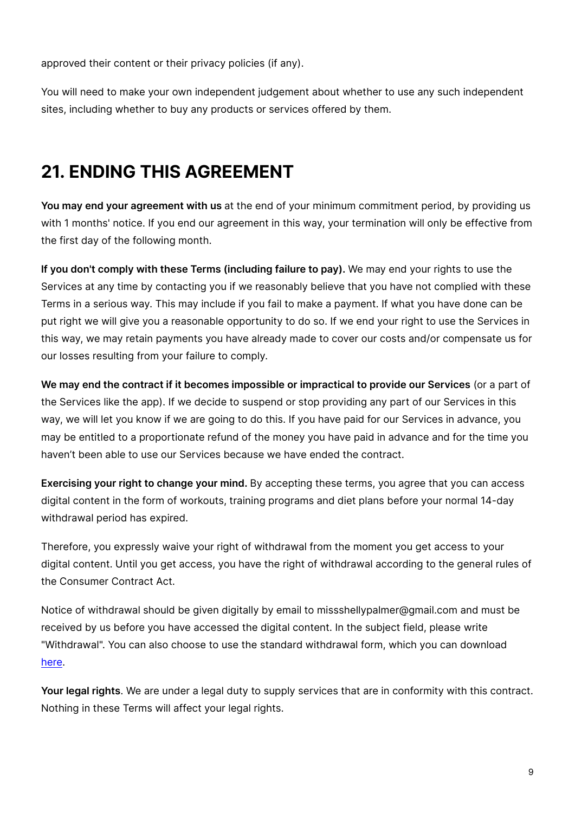approved their content or their privacy policies (if any).

You will need to make your own independent judgement about whether to use any such independent sites, including whether to buy any products or services offered by them.

### **21. ENDING THIS AGREEMENT**

**You may end your agreement with us** at the end of your minimum commitment period, by providing us with 1 months' notice. If you end our agreement in this way, your termination will only be effective from the first day of the following month.

**If you don't comply with these Terms (including failure to pay).** We may end your rights to use the Services at any time by contacting you if we reasonably believe that you have not complied with these Terms in a serious way. This may include if you fail to make a payment. If what you have done can be put right we will give you a reasonable opportunity to do so. If we end your right to use the Services in this way, we may retain payments you have already made to cover our costs and/or compensate us for our losses resulting from your failure to comply.

**We may end the contract if it becomes impossible or impractical to provide our Services** (or a part of the Services like the app). If we decide to suspend or stop providing any part of our Services in this way, we will let you know if we are going to do this. If you have paid for our Services in advance, you may be entitled to a proportionate refund of the money you have paid in advance and for the time you haven't been able to use our Services because we have ended the contract.

**Exercising your right to change your mind.** By accepting these terms, you agree that you can access digital content in the form of workouts, training programs and diet plans before your normal 14-day withdrawal period has expired.

Therefore, you expressly waive your right of withdrawal from the moment you get access to your digital content. Until you get access, you have the right of withdrawal according to the general rules of the Consumer Contract Act.

Notice of withdrawal should be given digitally by email to missshellypalmer@gmail.com and must be received by us before you have accessed the digital content. In the subject field, please write "Withdrawal". You can also choose to use the standard withdrawal form, which you can download [here.](https://storage.googleapis.com/lenus/refundForm/RefundForm_EN.pdf)

**Your legal rights**. We are under a legal duty to supply services that are in conformity with this contract. Nothing in these Terms will affect your legal rights.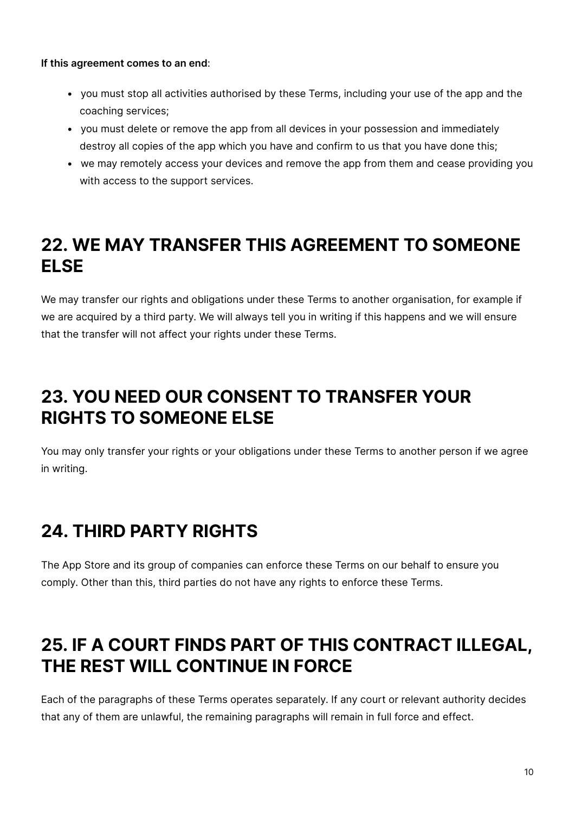**If this agreement comes to an end**:

- you must stop all activities authorised by these Terms, including your use of the app and the coaching services;
- you must delete or remove the app from all devices in your possession and immediately destroy all copies of the app which you have and confirm to us that you have done this;
- we may remotely access your devices and remove the app from them and cease providing you with access to the support services.

#### **22. WE MAY TRANSFER THIS AGREEMENT TO SOMEONE ELSE**

We may transfer our rights and obligations under these Terms to another organisation, for example if we are acquired by a third party. We will always tell you in writing if this happens and we will ensure that the transfer will not affect your rights under these Terms.

#### **23. YOU NEED OUR CONSENT TO TRANSFER YOUR RIGHTS TO SOMEONE ELSE**

You may only transfer your rights or your obligations under these Terms to another person if we agree in writing.

# **24. THIRD PARTY RIGHTS**

The App Store and its group of companies can enforce these Terms on our behalf to ensure you comply. Other than this, third parties do not have any rights to enforce these Terms.

# **25. IF A COURT FINDS PART OF THIS CONTRACT ILLEGAL, THE REST WILL CONTINUE IN FORCE**

Each of the paragraphs of these Terms operates separately. If any court or relevant authority decides that any of them are unlawful, the remaining paragraphs will remain in full force and effect.